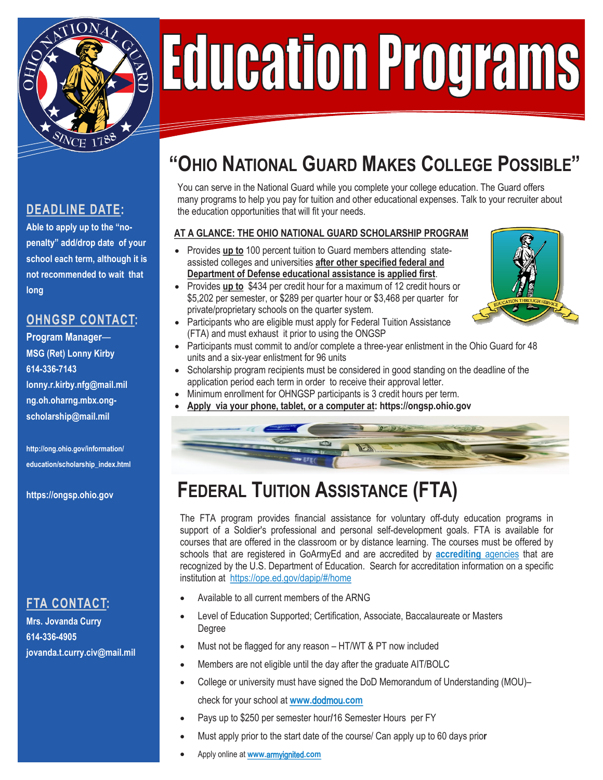

# **Education Programs**

#### **DEADLINE DATE:**

**Able to apply up to the "nopenalty" add/drop date of your school each term, although it is not recommended to wait that long**

#### **OHNGSP CONTACT:**

**Program Manager**— **MSG (Ret) Lonny Kirby 614-336-7143 lonny.r.kirby.nfg@mail.mil ng.oh.oharng.mbx.ongscholarship@mail.mil**

**http://ong.ohio.gov/information/ education/scholarship\_index.html**

**https://ongsp.ohio.gov**

#### **FTA CONTACT:**

**Mrs. Jovanda Curry 614-336-4905 jovanda.t.curry.civ@mail.mil**

# **"OHIO NATIONAL GUARD MAKES COLLEGE POSSIBLE"**

You can serve in the National Guard while you complete your college education. The Guard offers many programs to help you pay for tuition and other educational expenses. Talk to your recruiter about the education opportunities that will fit your needs.

#### **AT A GLANCE: THE OHIO NATIONAL GUARD SCHOLARSHIP PROGRAM**

- Provides **up to** 100 percent tuition to Guard members attending stateassisted colleges and universities **after other specified federal and Department of Defense educational assistance is applied first**.
- Provides **up to** \$434 per credit hour for a maximum of 12 credit hours or \$5,202 per semester, or \$289 per quarter hour or \$3,468 per quarter for private/proprietary schools on the quarter system.
- Participants who are eligible must apply for Federal Tuition Assistance (FTA) and must exhaust it prior to using the ONGSP
- Participants must commit to and/or complete a three-year enlistment in the Ohio Guard for 48 units and a six-year enlistment for 96 units
- Scholarship program recipients must be considered in good standing on the deadline of the application period each term in order to receive their approval letter.
- Minimum enrollment for OHNGSP participants is 3 credit hours per term.
- **Apply via your phone, tablet, or a computer at: [https://ongsp.ohio.gov](http://www.ongsp.org)**



# **FEDERAL TUITION ASSISTANCE (FTA)**

The FTA program provides financial assistance for voluntary off-duty education programs in support of a Soldier's professional and personal self-development goals. FTA is available for courses that are offered in the classroom or by distance learning. The courses must be offered by schools that are registered in GoArmyEd and are accredited by **[accrediting](http://www.ed.gov/admins/finaid/accred/accreditation_pg6.html#NationallyRecognized.)** agencies that are recognized by the U.S. Department of Education. Search for accreditation information on a specific institution at https://ope.ed.gov/dapip/#/home

- Available to all current members of the ARNG
- Level of Education Supported; Certification, Associate, Baccalaureate or Masters Degree
- Must not be flagged for any reason HT/WT & PT now included
- Members are not eligible until the day after the graduate AIT/BOLC
- College or university must [have signed the DoD](http://www.dodmou.com/) Memorandum of Understanding (MOU)– check for your school at **www.**dodmou**.com**
- Pays up to \$250 per semester hour**/**16 Semester Hours per FY
- Must apply prior [to the start](http://www.goarmyed.com/) date of the course/ Can apply up to 60 days prio**r**
- Apply online at **www.**armyignited**.com**